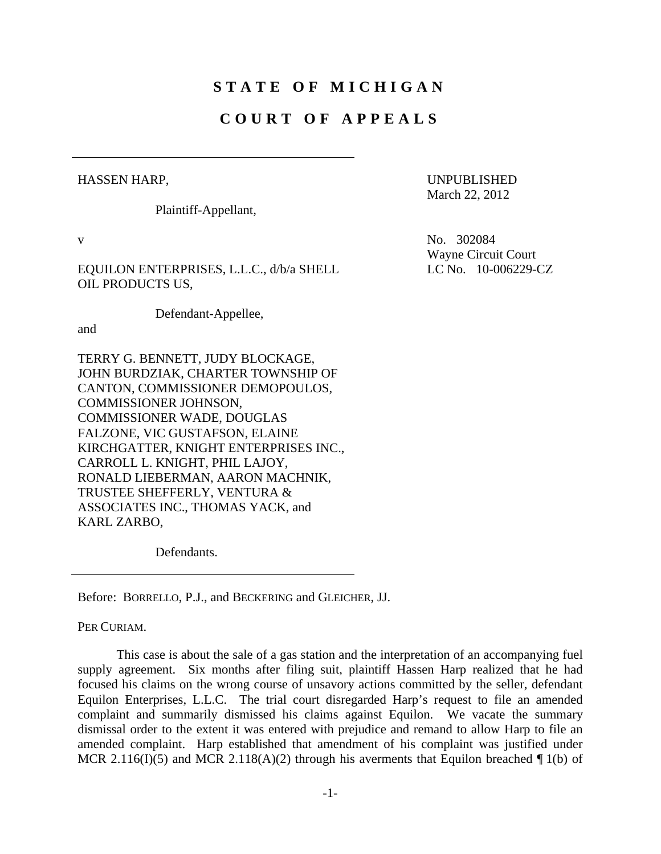# **STATE OF MICHIGAN**

# **COURT OF APPEALS**

## HASSEN HARP,

Plaintiff-Appellant,

EQUILON ENTERPRISES, L.L.C., d/b/a SHELL OIL PRODUCTS US,

Defendant-Appellee,

and

TERRY G. BENNETT, JUDY BLOCKAGE, JOHN BURDZIAK, CHARTER TOWNSHIP OF CANTON, COMMISSIONER DEMOPOULOS, COMMISSIONER JOHNSON, COMMISSIONER WADE, DOUGLAS FALZONE, VIC GUSTAFSON, ELAINE KIRCHGATTER, KNIGHT ENTERPRISES INC., CARROLL L. KNIGHT, PHIL LAJOY, RONALD LIEBERMAN, AARON MACHNIK, TRUSTEE SHEFFERLY, VENTURA & ASSOCIATES INC., THOMAS YACK, and KARL ZARBO,

Defendants.

Before: BORRELLO, P.J., and BECKERING and GLEICHER, JJ.

PER CURIAM.

 This case is about the sale of a gas station and the interpretation of an accompanying fuel supply agreement. Six months after filing suit, plaintiff Hassen Harp realized that he had focused his claims on the wrong course of unsavory actions committed by the seller, defendant Equilon Enterprises, L.L.C. The trial court disregarded Harp's request to file an amended complaint and summarily dismissed his claims against Equilon. We vacate the summary dismissal order to the extent it was entered with prejudice and remand to allow Harp to file an amended complaint. Harp established that amendment of his complaint was justified under MCR 2.116(I)(5) and MCR 2.118(A)(2) through his averments that Equilon breached  $\P$  1(b) of

UNPUBLISHED March 22, 2012

v No. 302084 Wayne Circuit Court LC No. 10-006229-CZ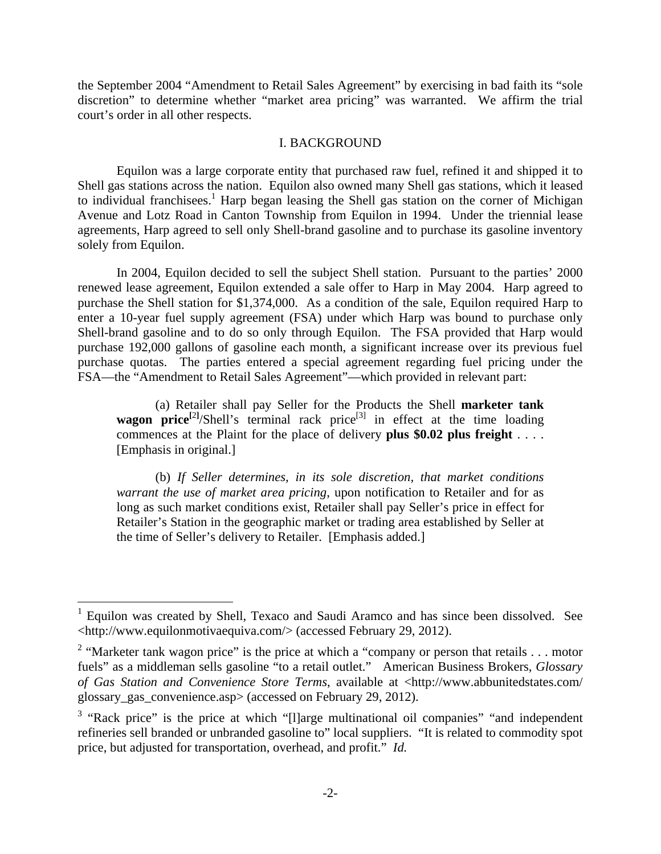the September 2004 "Amendment to Retail Sales Agreement" by exercising in bad faith its "sole discretion" to determine whether "market area pricing" was warranted. We affirm the trial court's order in all other respects.

#### I. BACKGROUND

 Equilon was a large corporate entity that purchased raw fuel, refined it and shipped it to Shell gas stations across the nation. Equilon also owned many Shell gas stations, which it leased to individual franchisees.<sup>1</sup> Harp began leasing the Shell gas station on the corner of Michigan Avenue and Lotz Road in Canton Township from Equilon in 1994. Under the triennial lease agreements, Harp agreed to sell only Shell-brand gasoline and to purchase its gasoline inventory solely from Equilon.

 In 2004, Equilon decided to sell the subject Shell station. Pursuant to the parties' 2000 renewed lease agreement, Equilon extended a sale offer to Harp in May 2004. Harp agreed to purchase the Shell station for \$1,374,000. As a condition of the sale, Equilon required Harp to enter a 10-year fuel supply agreement (FSA) under which Harp was bound to purchase only Shell-brand gasoline and to do so only through Equilon. The FSA provided that Harp would purchase 192,000 gallons of gasoline each month, a significant increase over its previous fuel purchase quotas. The parties entered a special agreement regarding fuel pricing under the FSA—the "Amendment to Retail Sales Agreement"—which provided in relevant part:

 (a) Retailer shall pay Seller for the Products the Shell **marketer tank wagon price<sup>[2]</sup>/Shell's terminal rack price<sup>[3]</sup> in effect at the time loading** commences at the Plaint for the place of delivery **plus \$0.02 plus freight** . . . . [Emphasis in original.]

 (b) *If Seller determines, in its sole discretion, that market conditions warrant the use of market area pricing*, upon notification to Retailer and for as long as such market conditions exist, Retailer shall pay Seller's price in effect for Retailer's Station in the geographic market or trading area established by Seller at the time of Seller's delivery to Retailer. [Emphasis added.]

 $\overline{a}$ 

<sup>1</sup> Equilon was created by Shell, Texaco and Saudi Aramco and has since been dissolved. See <http://www.equilonmotivaequiva.com/> (accessed February 29, 2012).

<sup>&</sup>lt;sup>2</sup> "Marketer tank wagon price" is the price at which a "company or person that retails  $\dots$  motor fuels" as a middleman sells gasoline "to a retail outlet." American Business Brokers, *Glossary of Gas Station and Convenience Store Terms*, available at <http://www.abbunitedstates.com/ glossary\_gas\_convenience.asp> (accessed on February 29, 2012).

<sup>&</sup>lt;sup>3</sup> "Rack price" is the price at which "[I]arge multinational oil companies" "and independent refineries sell branded or unbranded gasoline to" local suppliers. "It is related to commodity spot price, but adjusted for transportation, overhead, and profit." *Id.*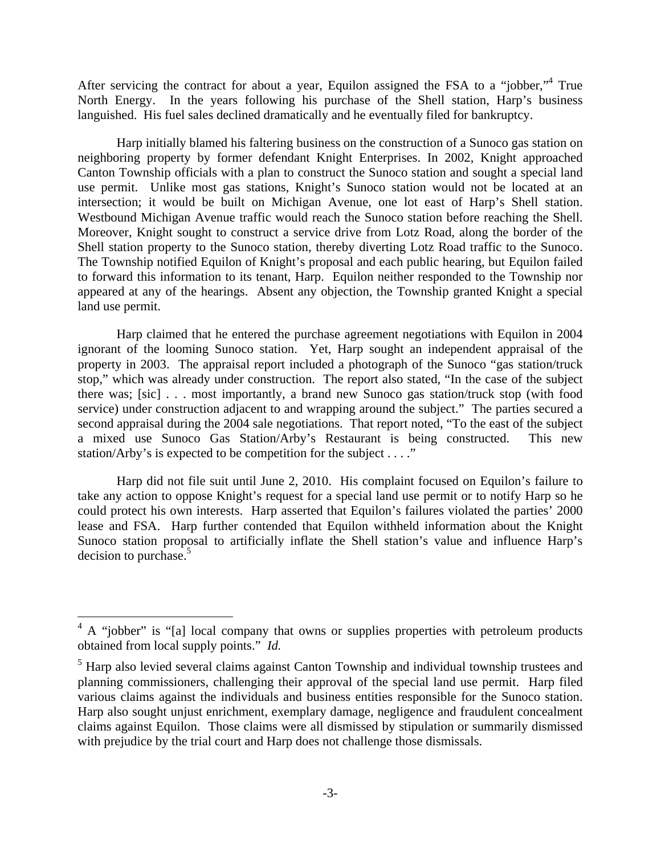After servicing the contract for about a year, Equilon assigned the FSA to a "jobber,"<sup>4</sup> True North Energy. In the years following his purchase of the Shell station, Harp's business languished. His fuel sales declined dramatically and he eventually filed for bankruptcy.

 Harp initially blamed his faltering business on the construction of a Sunoco gas station on neighboring property by former defendant Knight Enterprises. In 2002, Knight approached Canton Township officials with a plan to construct the Sunoco station and sought a special land use permit. Unlike most gas stations, Knight's Sunoco station would not be located at an intersection; it would be built on Michigan Avenue, one lot east of Harp's Shell station. Westbound Michigan Avenue traffic would reach the Sunoco station before reaching the Shell. Moreover, Knight sought to construct a service drive from Lotz Road, along the border of the Shell station property to the Sunoco station, thereby diverting Lotz Road traffic to the Sunoco. The Township notified Equilon of Knight's proposal and each public hearing, but Equilon failed to forward this information to its tenant, Harp. Equilon neither responded to the Township nor appeared at any of the hearings. Absent any objection, the Township granted Knight a special land use permit.

 Harp claimed that he entered the purchase agreement negotiations with Equilon in 2004 ignorant of the looming Sunoco station. Yet, Harp sought an independent appraisal of the property in 2003. The appraisal report included a photograph of the Sunoco "gas station/truck stop," which was already under construction. The report also stated, "In the case of the subject there was; [sic] . . . most importantly, a brand new Sunoco gas station/truck stop (with food service) under construction adjacent to and wrapping around the subject." The parties secured a second appraisal during the 2004 sale negotiations. That report noted, "To the east of the subject a mixed use Sunoco Gas Station/Arby's Restaurant is being constructed. This new station/Arby's is expected to be competition for the subject . . . ."

 Harp did not file suit until June 2, 2010. His complaint focused on Equilon's failure to take any action to oppose Knight's request for a special land use permit or to notify Harp so he could protect his own interests. Harp asserted that Equilon's failures violated the parties' 2000 lease and FSA. Harp further contended that Equilon withheld information about the Knight Sunoco station proposal to artificially inflate the Shell station's value and influence Harp's decision to purchase.<sup>5</sup>

 $\overline{a}$ 

 $4 \text{ A}$  "jobber" is "[a] local company that owns or supplies properties with petroleum products obtained from local supply points." *Id.*

<sup>&</sup>lt;sup>5</sup> Harp also levied several claims against Canton Township and individual township trustees and planning commissioners, challenging their approval of the special land use permit. Harp filed various claims against the individuals and business entities responsible for the Sunoco station. Harp also sought unjust enrichment, exemplary damage, negligence and fraudulent concealment claims against Equilon. Those claims were all dismissed by stipulation or summarily dismissed with prejudice by the trial court and Harp does not challenge those dismissals.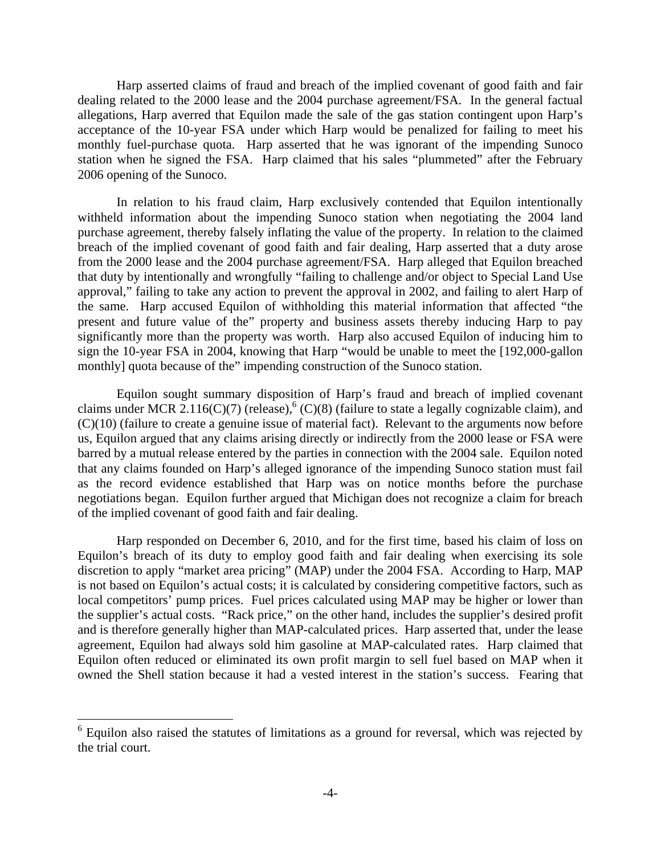Harp asserted claims of fraud and breach of the implied covenant of good faith and fair dealing related to the 2000 lease and the 2004 purchase agreement/FSA. In the general factual allegations, Harp averred that Equilon made the sale of the gas station contingent upon Harp's acceptance of the 10-year FSA under which Harp would be penalized for failing to meet his monthly fuel-purchase quota. Harp asserted that he was ignorant of the impending Sunoco station when he signed the FSA. Harp claimed that his sales "plummeted" after the February 2006 opening of the Sunoco.

 In relation to his fraud claim, Harp exclusively contended that Equilon intentionally withheld information about the impending Sunoco station when negotiating the 2004 land purchase agreement, thereby falsely inflating the value of the property. In relation to the claimed breach of the implied covenant of good faith and fair dealing, Harp asserted that a duty arose from the 2000 lease and the 2004 purchase agreement/FSA. Harp alleged that Equilon breached that duty by intentionally and wrongfully "failing to challenge and/or object to Special Land Use approval," failing to take any action to prevent the approval in 2002, and failing to alert Harp of the same. Harp accused Equilon of withholding this material information that affected "the present and future value of the" property and business assets thereby inducing Harp to pay significantly more than the property was worth. Harp also accused Equilon of inducing him to sign the 10-year FSA in 2004, knowing that Harp "would be unable to meet the [192,000-gallon monthly] quota because of the" impending construction of the Sunoco station.

 Equilon sought summary disposition of Harp's fraud and breach of implied covenant claims under MCR 2.116(C)(7) (release),  $^{6}$  (C)(8) (failure to state a legally cognizable claim), and (C)(10) (failure to create a genuine issue of material fact). Relevant to the arguments now before us, Equilon argued that any claims arising directly or indirectly from the 2000 lease or FSA were barred by a mutual release entered by the parties in connection with the 2004 sale. Equilon noted that any claims founded on Harp's alleged ignorance of the impending Sunoco station must fail as the record evidence established that Harp was on notice months before the purchase negotiations began. Equilon further argued that Michigan does not recognize a claim for breach of the implied covenant of good faith and fair dealing.

 Harp responded on December 6, 2010, and for the first time, based his claim of loss on Equilon's breach of its duty to employ good faith and fair dealing when exercising its sole discretion to apply "market area pricing" (MAP) under the 2004 FSA. According to Harp, MAP is not based on Equilon's actual costs; it is calculated by considering competitive factors, such as local competitors' pump prices. Fuel prices calculated using MAP may be higher or lower than the supplier's actual costs. "Rack price," on the other hand, includes the supplier's desired profit and is therefore generally higher than MAP-calculated prices. Harp asserted that, under the lease agreement, Equilon had always sold him gasoline at MAP-calculated rates. Harp claimed that Equilon often reduced or eliminated its own profit margin to sell fuel based on MAP when it owned the Shell station because it had a vested interest in the station's success. Fearing that

 $\overline{a}$ 

<sup>&</sup>lt;sup>6</sup> Equilon also raised the statutes of limitations as a ground for reversal, which was rejected by the trial court.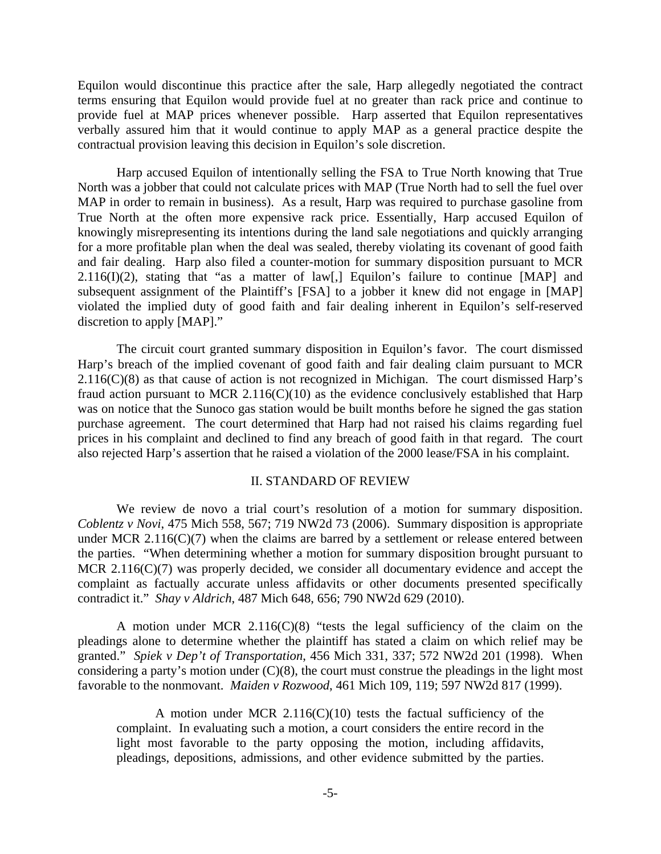Equilon would discontinue this practice after the sale, Harp allegedly negotiated the contract terms ensuring that Equilon would provide fuel at no greater than rack price and continue to provide fuel at MAP prices whenever possible. Harp asserted that Equilon representatives verbally assured him that it would continue to apply MAP as a general practice despite the contractual provision leaving this decision in Equilon's sole discretion.

 Harp accused Equilon of intentionally selling the FSA to True North knowing that True North was a jobber that could not calculate prices with MAP (True North had to sell the fuel over MAP in order to remain in business). As a result, Harp was required to purchase gasoline from True North at the often more expensive rack price. Essentially, Harp accused Equilon of knowingly misrepresenting its intentions during the land sale negotiations and quickly arranging for a more profitable plan when the deal was sealed, thereby violating its covenant of good faith and fair dealing. Harp also filed a counter-motion for summary disposition pursuant to MCR  $2.116(I)(2)$ , stating that "as a matter of law[,] Equilon's failure to continue [MAP] and subsequent assignment of the Plaintiff's [FSA] to a jobber it knew did not engage in [MAP] violated the implied duty of good faith and fair dealing inherent in Equilon's self-reserved discretion to apply [MAP]."

 The circuit court granted summary disposition in Equilon's favor. The court dismissed Harp's breach of the implied covenant of good faith and fair dealing claim pursuant to MCR  $2.116(C)(8)$  as that cause of action is not recognized in Michigan. The court dismissed Harp's fraud action pursuant to MCR 2.116(C)(10) as the evidence conclusively established that Harp was on notice that the Sunoco gas station would be built months before he signed the gas station purchase agreement. The court determined that Harp had not raised his claims regarding fuel prices in his complaint and declined to find any breach of good faith in that regard. The court also rejected Harp's assertion that he raised a violation of the 2000 lease/FSA in his complaint.

#### II. STANDARD OF REVIEW

 We review de novo a trial court's resolution of a motion for summary disposition. *Coblentz v Novi*, 475 Mich 558, 567; 719 NW2d 73 (2006). Summary disposition is appropriate under MCR  $2.116(C)(7)$  when the claims are barred by a settlement or release entered between the parties. "When determining whether a motion for summary disposition brought pursuant to MCR 2.116(C)(7) was properly decided, we consider all documentary evidence and accept the complaint as factually accurate unless affidavits or other documents presented specifically contradict it." *Shay v Aldrich*, 487 Mich 648, 656; 790 NW2d 629 (2010).

 A motion under MCR 2.116(C)(8) "tests the legal sufficiency of the claim on the pleadings alone to determine whether the plaintiff has stated a claim on which relief may be granted." *Spiek v Dep't of Transportation*, 456 Mich 331, 337; 572 NW2d 201 (1998). When considering a party's motion under (C)(8), the court must construe the pleadings in the light most favorable to the nonmovant. *Maiden v Rozwood*, 461 Mich 109, 119; 597 NW2d 817 (1999).

A motion under MCR  $2.116(C)(10)$  tests the factual sufficiency of the complaint. In evaluating such a motion, a court considers the entire record in the light most favorable to the party opposing the motion, including affidavits, pleadings, depositions, admissions, and other evidence submitted by the parties.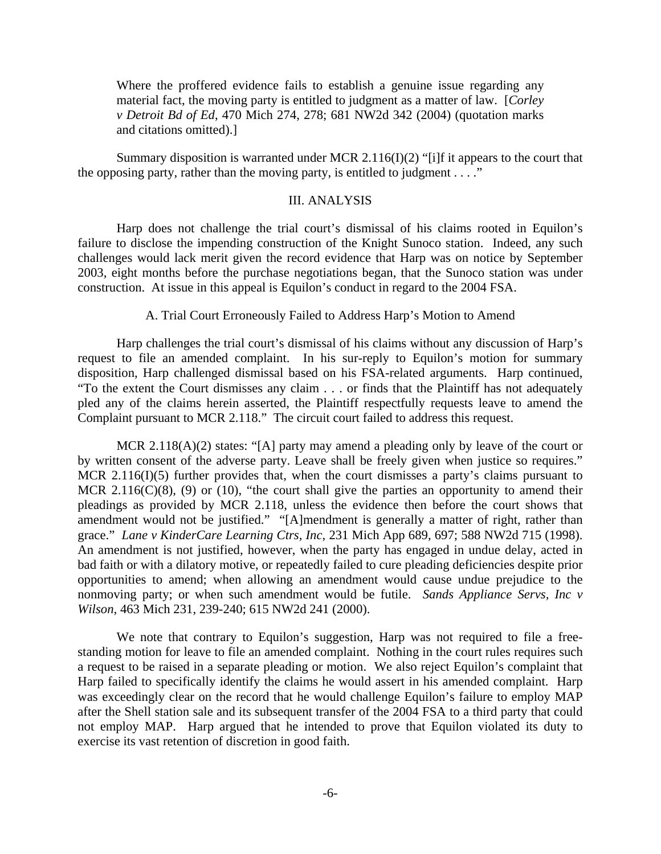Where the proffered evidence fails to establish a genuine issue regarding any material fact, the moving party is entitled to judgment as a matter of law. [*Corley v Detroit Bd of Ed*, 470 Mich 274, 278; 681 NW2d 342 (2004) (quotation marks and citations omitted).]

Summary disposition is warranted under MCR 2.116(I)(2) "[i]f it appears to the court that the opposing party, rather than the moving party, is entitled to judgment  $\dots$ ."

#### III. ANALYSIS

 Harp does not challenge the trial court's dismissal of his claims rooted in Equilon's failure to disclose the impending construction of the Knight Sunoco station. Indeed, any such challenges would lack merit given the record evidence that Harp was on notice by September 2003, eight months before the purchase negotiations began, that the Sunoco station was under construction. At issue in this appeal is Equilon's conduct in regard to the 2004 FSA.

## A. Trial Court Erroneously Failed to Address Harp's Motion to Amend

 Harp challenges the trial court's dismissal of his claims without any discussion of Harp's request to file an amended complaint. In his sur-reply to Equilon's motion for summary disposition, Harp challenged dismissal based on his FSA-related arguments. Harp continued, "To the extent the Court dismisses any claim . . . or finds that the Plaintiff has not adequately pled any of the claims herein asserted, the Plaintiff respectfully requests leave to amend the Complaint pursuant to MCR 2.118." The circuit court failed to address this request.

MCR 2.118(A)(2) states: "[A] party may amend a pleading only by leave of the court or by written consent of the adverse party. Leave shall be freely given when justice so requires." MCR 2.116(I)(5) further provides that, when the court dismisses a party's claims pursuant to MCR 2.116( $C(8)$ , (9) or (10), "the court shall give the parties an opportunity to amend their pleadings as provided by MCR 2.118, unless the evidence then before the court shows that amendment would not be justified." "[A]mendment is generally a matter of right, rather than grace." *Lane v KinderCare Learning Ctrs, Inc*, 231 Mich App 689, 697; 588 NW2d 715 (1998). An amendment is not justified, however, when the party has engaged in undue delay, acted in bad faith or with a dilatory motive, or repeatedly failed to cure pleading deficiencies despite prior opportunities to amend; when allowing an amendment would cause undue prejudice to the nonmoving party; or when such amendment would be futile. *Sands Appliance Servs, Inc v Wilson*, 463 Mich 231, 239-240; 615 NW2d 241 (2000).

 We note that contrary to Equilon's suggestion, Harp was not required to file a freestanding motion for leave to file an amended complaint. Nothing in the court rules requires such a request to be raised in a separate pleading or motion. We also reject Equilon's complaint that Harp failed to specifically identify the claims he would assert in his amended complaint. Harp was exceedingly clear on the record that he would challenge Equilon's failure to employ MAP after the Shell station sale and its subsequent transfer of the 2004 FSA to a third party that could not employ MAP. Harp argued that he intended to prove that Equilon violated its duty to exercise its vast retention of discretion in good faith.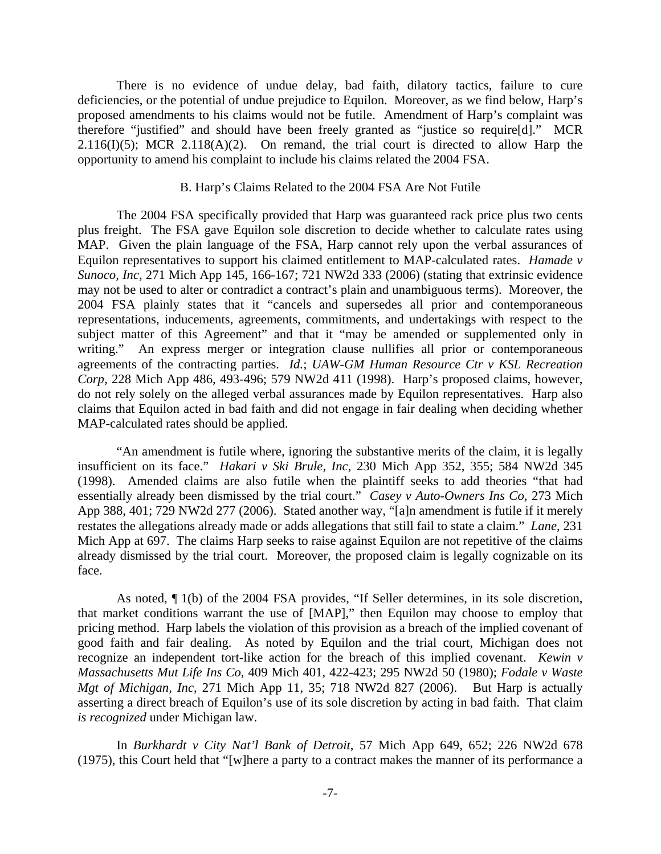There is no evidence of undue delay, bad faith, dilatory tactics, failure to cure deficiencies, or the potential of undue prejudice to Equilon. Moreover, as we find below, Harp's proposed amendments to his claims would not be futile. Amendment of Harp's complaint was therefore "justified" and should have been freely granted as "justice so require[d]." MCR  $2.116(I)(5)$ ; MCR  $2.118(A)(2)$ . On remand, the trial court is directed to allow Harp the opportunity to amend his complaint to include his claims related the 2004 FSA.

#### B. Harp's Claims Related to the 2004 FSA Are Not Futile

 The 2004 FSA specifically provided that Harp was guaranteed rack price plus two cents plus freight. The FSA gave Equilon sole discretion to decide whether to calculate rates using MAP. Given the plain language of the FSA, Harp cannot rely upon the verbal assurances of Equilon representatives to support his claimed entitlement to MAP-calculated rates. *Hamade v Sunoco, Inc*, 271 Mich App 145, 166-167; 721 NW2d 333 (2006) (stating that extrinsic evidence may not be used to alter or contradict a contract's plain and unambiguous terms). Moreover, the 2004 FSA plainly states that it "cancels and supersedes all prior and contemporaneous representations, inducements, agreements, commitments, and undertakings with respect to the subject matter of this Agreement" and that it "may be amended or supplemented only in writing." An express merger or integration clause nullifies all prior or contemporaneous agreements of the contracting parties. *Id.*; *UAW-GM Human Resource Ctr v KSL Recreation Corp*, 228 Mich App 486, 493-496; 579 NW2d 411 (1998). Harp's proposed claims, however, do not rely solely on the alleged verbal assurances made by Equilon representatives. Harp also claims that Equilon acted in bad faith and did not engage in fair dealing when deciding whether MAP-calculated rates should be applied.

 "An amendment is futile where, ignoring the substantive merits of the claim, it is legally insufficient on its face." *Hakari v Ski Brule, Inc*, 230 Mich App 352, 355; 584 NW2d 345 (1998). Amended claims are also futile when the plaintiff seeks to add theories "that had essentially already been dismissed by the trial court." *Casey v Auto-Owners Ins Co*, 273 Mich App 388, 401; 729 NW2d 277 (2006). Stated another way, "[a]n amendment is futile if it merely restates the allegations already made or adds allegations that still fail to state a claim." *Lane*, 231 Mich App at 697. The claims Harp seeks to raise against Equilon are not repetitive of the claims already dismissed by the trial court. Moreover, the proposed claim is legally cognizable on its face.

 As noted, ¶ 1(b) of the 2004 FSA provides, "If Seller determines, in its sole discretion, that market conditions warrant the use of [MAP]," then Equilon may choose to employ that pricing method. Harp labels the violation of this provision as a breach of the implied covenant of good faith and fair dealing. As noted by Equilon and the trial court, Michigan does not recognize an independent tort-like action for the breach of this implied covenant. *Kewin v Massachusetts Mut Life Ins Co*, 409 Mich 401, 422-423; 295 NW2d 50 (1980); *Fodale v Waste Mgt of Michigan, Inc*, 271 Mich App 11, 35; 718 NW2d 827 (2006). But Harp is actually asserting a direct breach of Equilon's use of its sole discretion by acting in bad faith. That claim *is recognized* under Michigan law.

 In *Burkhardt v City Nat'l Bank of Detroit*, 57 Mich App 649, 652; 226 NW2d 678 (1975), this Court held that "[w]here a party to a contract makes the manner of its performance a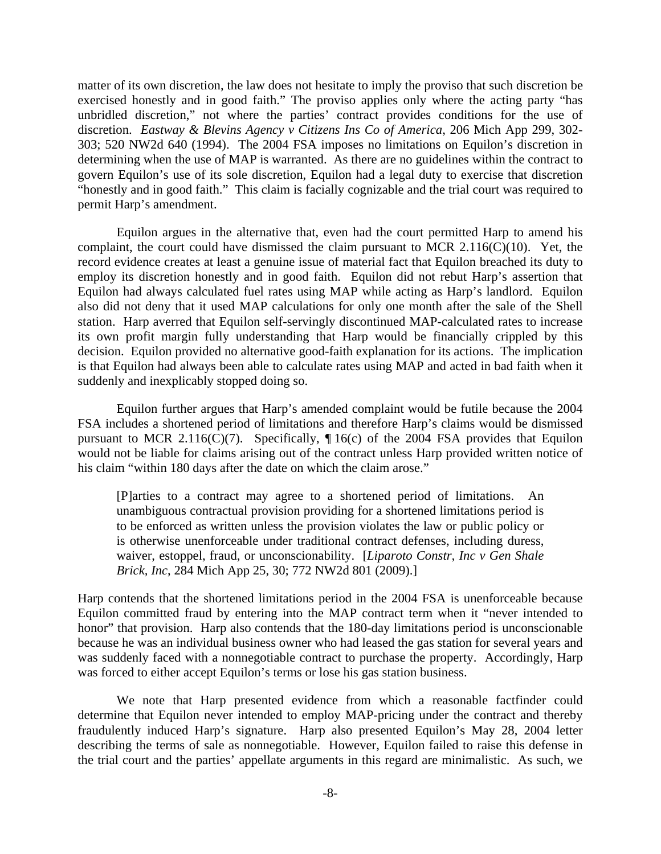matter of its own discretion, the law does not hesitate to imply the proviso that such discretion be exercised honestly and in good faith." The proviso applies only where the acting party "has unbridled discretion," not where the parties' contract provides conditions for the use of discretion. *Eastway & Blevins Agency v Citizens Ins Co of America*, 206 Mich App 299, 302- 303; 520 NW2d 640 (1994). The 2004 FSA imposes no limitations on Equilon's discretion in determining when the use of MAP is warranted. As there are no guidelines within the contract to govern Equilon's use of its sole discretion, Equilon had a legal duty to exercise that discretion "honestly and in good faith." This claim is facially cognizable and the trial court was required to permit Harp's amendment.

 Equilon argues in the alternative that, even had the court permitted Harp to amend his complaint, the court could have dismissed the claim pursuant to MCR 2.116(C)(10). Yet, the record evidence creates at least a genuine issue of material fact that Equilon breached its duty to employ its discretion honestly and in good faith. Equilon did not rebut Harp's assertion that Equilon had always calculated fuel rates using MAP while acting as Harp's landlord. Equilon also did not deny that it used MAP calculations for only one month after the sale of the Shell station. Harp averred that Equilon self-servingly discontinued MAP-calculated rates to increase its own profit margin fully understanding that Harp would be financially crippled by this decision. Equilon provided no alternative good-faith explanation for its actions. The implication is that Equilon had always been able to calculate rates using MAP and acted in bad faith when it suddenly and inexplicably stopped doing so.

 Equilon further argues that Harp's amended complaint would be futile because the 2004 FSA includes a shortened period of limitations and therefore Harp's claims would be dismissed pursuant to MCR 2.116(C)(7). Specifically,  $\P$ 16(c) of the 2004 FSA provides that Equilon would not be liable for claims arising out of the contract unless Harp provided written notice of his claim "within 180 days after the date on which the claim arose."

[P]arties to a contract may agree to a shortened period of limitations. An unambiguous contractual provision providing for a shortened limitations period is to be enforced as written unless the provision violates the law or public policy or is otherwise unenforceable under traditional contract defenses, including duress, waiver, estoppel, fraud, or unconscionability. [*Liparoto Constr, Inc v Gen Shale Brick, Inc*, 284 Mich App 25, 30; 772 NW2d 801 (2009).]

Harp contends that the shortened limitations period in the 2004 FSA is unenforceable because Equilon committed fraud by entering into the MAP contract term when it "never intended to honor" that provision. Harp also contends that the 180-day limitations period is unconscionable because he was an individual business owner who had leased the gas station for several years and was suddenly faced with a nonnegotiable contract to purchase the property. Accordingly, Harp was forced to either accept Equilon's terms or lose his gas station business.

 We note that Harp presented evidence from which a reasonable factfinder could determine that Equilon never intended to employ MAP-pricing under the contract and thereby fraudulently induced Harp's signature. Harp also presented Equilon's May 28, 2004 letter describing the terms of sale as nonnegotiable. However, Equilon failed to raise this defense in the trial court and the parties' appellate arguments in this regard are minimalistic. As such, we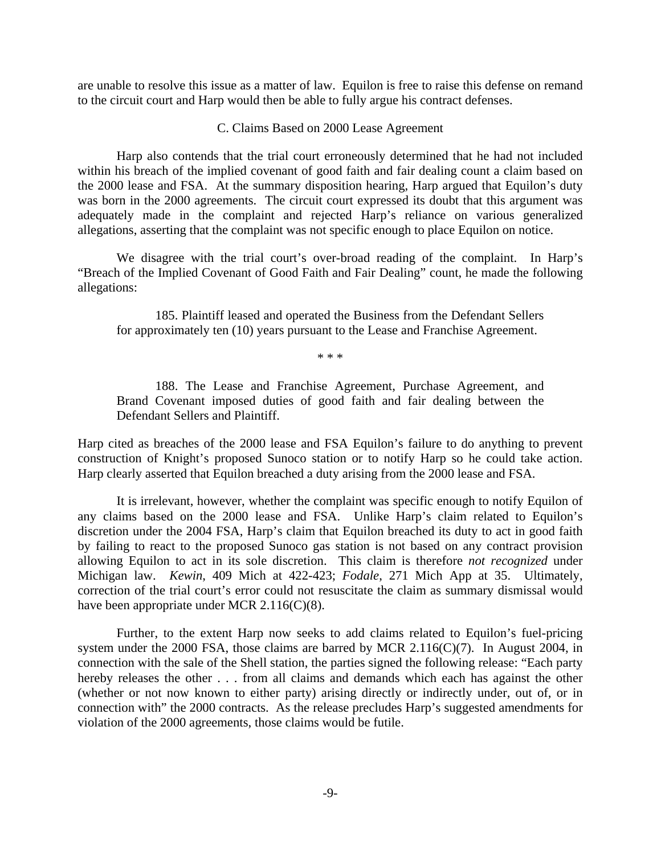are unable to resolve this issue as a matter of law. Equilon is free to raise this defense on remand to the circuit court and Harp would then be able to fully argue his contract defenses.

# C. Claims Based on 2000 Lease Agreement

 Harp also contends that the trial court erroneously determined that he had not included within his breach of the implied covenant of good faith and fair dealing count a claim based on the 2000 lease and FSA. At the summary disposition hearing, Harp argued that Equilon's duty was born in the 2000 agreements. The circuit court expressed its doubt that this argument was adequately made in the complaint and rejected Harp's reliance on various generalized allegations, asserting that the complaint was not specific enough to place Equilon on notice.

We disagree with the trial court's over-broad reading of the complaint. In Harp's "Breach of the Implied Covenant of Good Faith and Fair Dealing" count, he made the following allegations:

 185. Plaintiff leased and operated the Business from the Defendant Sellers for approximately ten (10) years pursuant to the Lease and Franchise Agreement.

\* \* \*

 188. The Lease and Franchise Agreement, Purchase Agreement, and Brand Covenant imposed duties of good faith and fair dealing between the Defendant Sellers and Plaintiff.

Harp cited as breaches of the 2000 lease and FSA Equilon's failure to do anything to prevent construction of Knight's proposed Sunoco station or to notify Harp so he could take action. Harp clearly asserted that Equilon breached a duty arising from the 2000 lease and FSA.

 It is irrelevant, however, whether the complaint was specific enough to notify Equilon of any claims based on the 2000 lease and FSA. Unlike Harp's claim related to Equilon's discretion under the 2004 FSA, Harp's claim that Equilon breached its duty to act in good faith by failing to react to the proposed Sunoco gas station is not based on any contract provision allowing Equilon to act in its sole discretion. This claim is therefore *not recognized* under Michigan law. *Kewin*, 409 Mich at 422-423; *Fodale*, 271 Mich App at 35. Ultimately, correction of the trial court's error could not resuscitate the claim as summary dismissal would have been appropriate under MCR 2.116(C)(8).

 Further, to the extent Harp now seeks to add claims related to Equilon's fuel-pricing system under the 2000 FSA, those claims are barred by MCR 2.116(C)(7). In August 2004, in connection with the sale of the Shell station, the parties signed the following release: "Each party hereby releases the other . . . from all claims and demands which each has against the other (whether or not now known to either party) arising directly or indirectly under, out of, or in connection with" the 2000 contracts. As the release precludes Harp's suggested amendments for violation of the 2000 agreements, those claims would be futile.